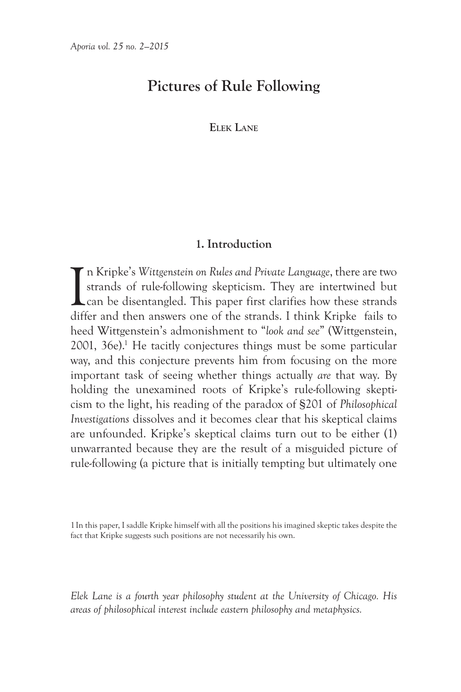# **Pictures of Rule Following**

**Elek Lane**

# **1. Introduction**

In Kripke's *Wittgenstein on Rules and Private Language*, there are two strands of rule-following skepticism. They are intertwined but can be disentangled. This paper first clarifies how these strands differ and then answe strands of rule-following skepticism. They are intertwined but can be disentangled. This paper first clarifies how these strands differ and then answers one of the strands. I think Kripke fails to heed Wittgenstein's admonishment to "*look and see*" (Wittgenstein, 2001, 36e).<sup>1</sup> He tacitly conjectures things must be some particular way, and this conjecture prevents him from focusing on the more important task of seeing whether things actually *are* that way. By holding the unexamined roots of Kripke's rule-following skepticism to the light, his reading of the paradox of §201 of *Philosophical Investigations* dissolves and it becomes clear that his skeptical claims are unfounded. Kripke's skeptical claims turn out to be either (1) unwarranted because they are the result of a misguided picture of rule-following (a picture that is initially tempting but ultimately one

1In this paper, I saddle Kripke himself with all the positions his imagined skeptic takes despite the fact that Kripke suggests such positions are not necessarily his own.

*Elek Lane is a fourth year philosophy student at the University of Chicago. His areas of philosophical interest include eastern philosophy and metaphysics.*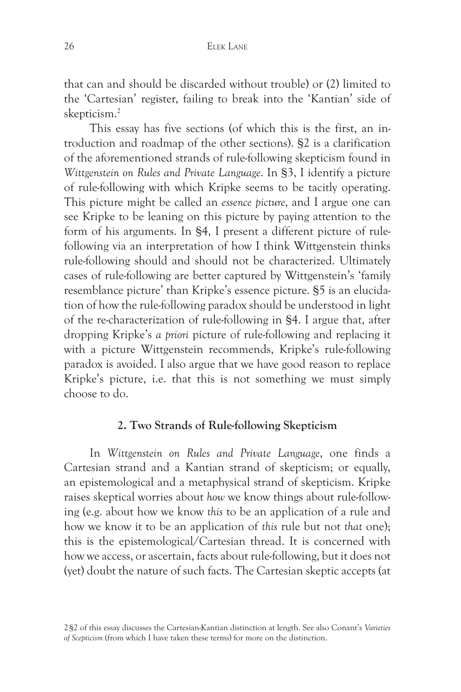that can and should be discarded without trouble) or (2) limited to the 'Cartesian' register, failing to break into the 'Kantian' side of skepticism.2

This essay has five sections (of which this is the first, an introduction and roadmap of the other sections). §2 is a clarification of the aforementioned strands of rule-following skepticism found in *Wittgenstein on Rules and Private Language*. In §3, I identify a picture of rule-following with which Kripke seems to be tacitly operating. This picture might be called an *essence picture*, and I argue one can see Kripke to be leaning on this picture by paying attention to the form of his arguments. In §4, I present a different picture of rulefollowing via an interpretation of how I think Wittgenstein thinks rule-following should and should not be characterized. Ultimately cases of rule-following are better captured by Wittgenstein's 'family resemblance picture' than Kripke's essence picture. §5 is an elucidation of how the rule-following paradox should be understood in light of the re-characterization of rule-following in §4. I argue that, after dropping Kripke's *a priori* picture of rule-following and replacing it with a picture Wittgenstein recommends, Kripke's rule-following paradox is avoided. I also argue that we have good reason to replace Kripke's picture, i.e. that this is not something we must simply choose to do.

### **2. Two Strands of Rule-following Skepticism**

In *Wittgenstein on Rules and Private Language*, one finds a Cartesian strand and a Kantian strand of skepticism; or equally, an epistemological and a metaphysical strand of skepticism. Kripke raises skeptical worries about *how* we know things about rule-following (e.g. about how we know *this* to be an application of a rule and how we know it to be an application of *this* rule but not *that* one); this is the epistemological/Cartesian thread. It is concerned with how we access, or ascertain, facts about rule-following, but it does not (yet) doubt the nature of such facts. The Cartesian skeptic accepts (at

<sup>2§2</sup> of this essay discusses the Cartesian-Kantian distinction at length. See also Conant's *Varieties of Scepticism* (from which I have taken these terms) for more on the distinction.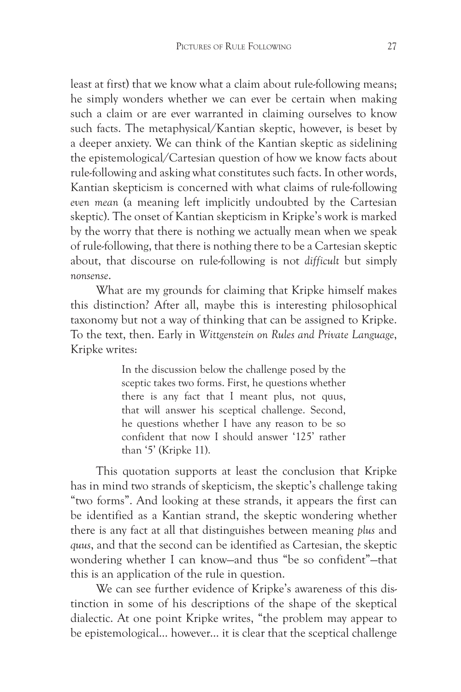least at first) that we know what a claim about rule-following means; he simply wonders whether we can ever be certain when making such a claim or are ever warranted in claiming ourselves to know such facts. The metaphysical/Kantian skeptic, however, is beset by a deeper anxiety. We can think of the Kantian skeptic as sidelining the epistemological/Cartesian question of how we know facts about rule-following and asking what constitutes such facts. In other words, Kantian skepticism is concerned with what claims of rule-following *even mean* (a meaning left implicitly undoubted by the Cartesian skeptic). The onset of Kantian skepticism in Kripke's work is marked by the worry that there is nothing we actually mean when we speak of rule-following, that there is nothing there to be a Cartesian skeptic about, that discourse on rule-following is not *difficult* but simply *nonsense*.

What are my grounds for claiming that Kripke himself makes this distinction? After all, maybe this is interesting philosophical taxonomy but not a way of thinking that can be assigned to Kripke. To the text, then. Early in *Wittgenstein on Rules and Private Language*, Kripke writes:

> In the discussion below the challenge posed by the sceptic takes two forms. First, he questions whether there is any fact that I meant plus, not quus, that will answer his sceptical challenge. Second, he questions whether I have any reason to be so confident that now I should answer '125' rather than '5' (Kripke 11).

This quotation supports at least the conclusion that Kripke has in mind two strands of skepticism, the skeptic's challenge taking "two forms". And looking at these strands, it appears the first can be identified as a Kantian strand, the skeptic wondering whether there is any fact at all that distinguishes between meaning *plus* and *quus*, and that the second can be identified as Cartesian, the skeptic wondering whether I can know—and thus "be so confident"—that this is an application of the rule in question.

We can see further evidence of Kripke's awareness of this distinction in some of his descriptions of the shape of the skeptical dialectic. At one point Kripke writes, "the problem may appear to be epistemological... however... it is clear that the sceptical challenge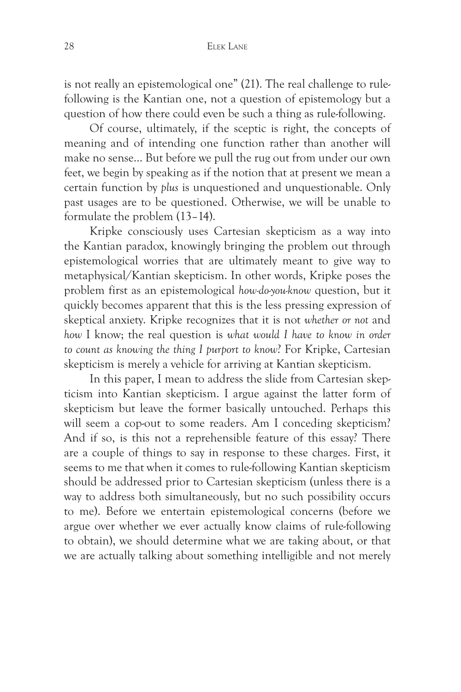is not really an epistemological one" (21). The real challenge to rulefollowing is the Kantian one, not a question of epistemology but a question of how there could even be such a thing as rule-following.

Of course, ultimately, if the sceptic is right, the concepts of meaning and of intending one function rather than another will make no sense... But before we pull the rug out from under our own feet, we begin by speaking as if the notion that at present we mean a certain function by *plus* is unquestioned and unquestionable. Only past usages are to be questioned. Otherwise, we will be unable to formulate the problem (13–14).

Kripke consciously uses Cartesian skepticism as a way into the Kantian paradox, knowingly bringing the problem out through epistemological worries that are ultimately meant to give way to metaphysical/Kantian skepticism. In other words, Kripke poses the problem first as an epistemological *how-do-you-know* question, but it quickly becomes apparent that this is the less pressing expression of skeptical anxiety. Kripke recognizes that it is not *whether or not* and *how* I know; the real question is *what would I have to know in order to count as knowing the thing I purport to know*? For Kripke, Cartesian skepticism is merely a vehicle for arriving at Kantian skepticism.

In this paper, I mean to address the slide from Cartesian skepticism into Kantian skepticism. I argue against the latter form of skepticism but leave the former basically untouched. Perhaps this will seem a cop-out to some readers. Am I conceding skepticism? And if so, is this not a reprehensible feature of this essay? There are a couple of things to say in response to these charges. First, it seems to me that when it comes to rule-following Kantian skepticism should be addressed prior to Cartesian skepticism (unless there is a way to address both simultaneously, but no such possibility occurs to me). Before we entertain epistemological concerns (before we argue over whether we ever actually know claims of rule-following to obtain), we should determine what we are taking about, or that we are actually talking about something intelligible and not merely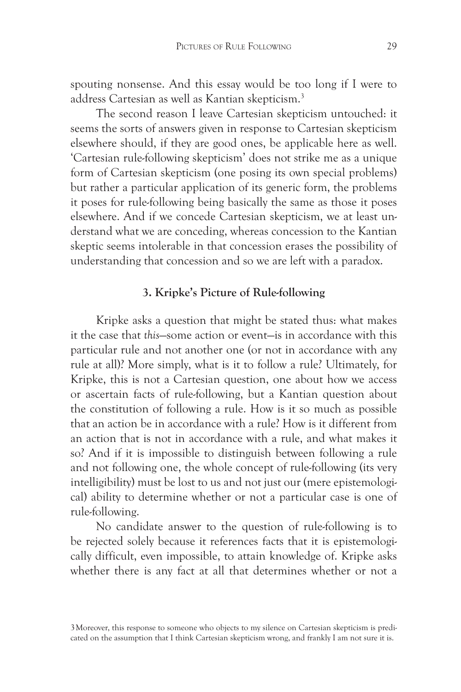spouting nonsense. And this essay would be too long if I were to address Cartesian as well as Kantian skepticism.3

The second reason I leave Cartesian skepticism untouched: it seems the sorts of answers given in response to Cartesian skepticism elsewhere should, if they are good ones, be applicable here as well. 'Cartesian rule-following skepticism' does not strike me as a unique form of Cartesian skepticism (one posing its own special problems) but rather a particular application of its generic form, the problems it poses for rule-following being basically the same as those it poses elsewhere. And if we concede Cartesian skepticism, we at least understand what we are conceding, whereas concession to the Kantian skeptic seems intolerable in that concession erases the possibility of understanding that concession and so we are left with a paradox.

# **3. Kripke's Picture of Rule-following**

Kripke asks a question that might be stated thus: what makes it the case that *this*—some action or event—is in accordance with this particular rule and not another one (or not in accordance with any rule at all)? More simply, what is it to follow a rule? Ultimately, for Kripke, this is not a Cartesian question, one about how we access or ascertain facts of rule-following, but a Kantian question about the constitution of following a rule. How is it so much as possible that an action be in accordance with a rule? How is it different from an action that is not in accordance with a rule, and what makes it so? And if it is impossible to distinguish between following a rule and not following one, the whole concept of rule-following (its very intelligibility) must be lost to us and not just our (mere epistemological) ability to determine whether or not a particular case is one of rule-following.

No candidate answer to the question of rule-following is to be rejected solely because it references facts that it is epistemologically difficult, even impossible, to attain knowledge of. Kripke asks whether there is any fact at all that determines whether or not a

<sup>3</sup>Moreover, this response to someone who objects to my silence on Cartesian skepticism is predicated on the assumption that I think Cartesian skepticism wrong, and frankly I am not sure it is.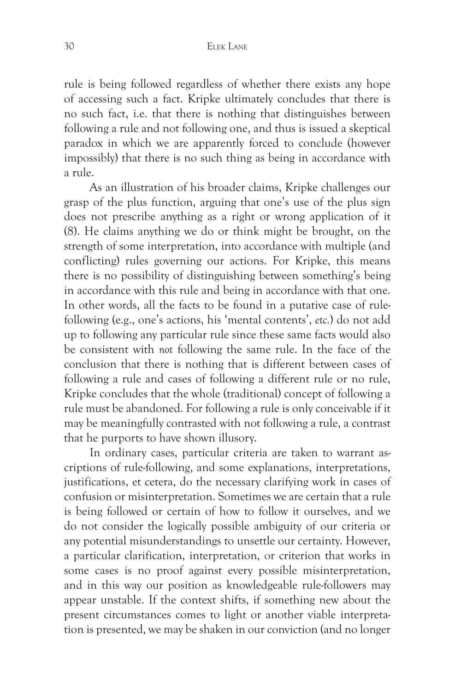rule is being followed regardless of whether there exists any hope of accessing such a fact. Kripke ultimately concludes that there is no such fact, i.e. that there is nothing that distinguishes between following a rule and not following one, and thus is issued a skeptical paradox in which we are apparently forced to conclude (however impossibly) that there is no such thing as being in accordance with a rule.

As an illustration of his broader claims, Kripke challenges our grasp of the plus function, arguing that one's use of the plus sign does not prescribe anything as a right or wrong application of it (8). He claims anything we do or think might be brought, on the strength of some interpretation, into accordance with multiple (and conflicting) rules governing our actions. For Kripke, this means there is no possibility of distinguishing between something's being in accordance with this rule and being in accordance with that one. In other words, all the facts to be found in a putative case of rulefollowing (e.g., one's actions, his 'mental contents', *etc.*) do not add up to following any particular rule since these same facts would also be consistent with *not* following the same rule. In the face of the conclusion that there is nothing that is different between cases of following a rule and cases of following a different rule or no rule, Kripke concludes that the whole (traditional) concept of following a rule must be abandoned. For following a rule is only conceivable if it may be meaningfully contrasted with not following a rule, a contrast that he purports to have shown illusory.

In ordinary cases, particular criteria are taken to warrant ascriptions of rule-following, and some explanations, interpretations, justifications, et cetera, do the necessary clarifying work in cases of confusion or misinterpretation. Sometimes we are certain that a rule is being followed or certain of how to follow it ourselves, and we do not consider the logically possible ambiguity of our criteria or any potential misunderstandings to unsettle our certainty. However, a particular clarification, interpretation, or criterion that works in some cases is no proof against every possible misinterpretation, and in this way our position as knowledgeable rule-followers may appear unstable. If the context shifts, if something new about the present circumstances comes to light or another viable interpretation is presented, we may be shaken in our conviction (and no longer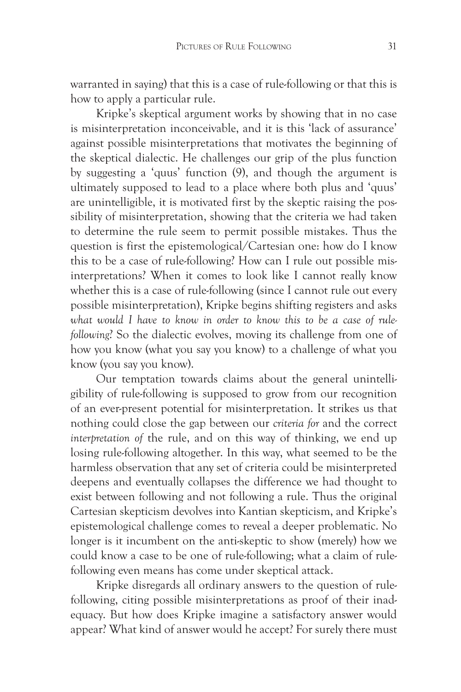warranted in saying) that this is a case of rule-following or that this is how to apply a particular rule.

Kripke's skeptical argument works by showing that in no case is misinterpretation inconceivable, and it is this 'lack of assurance' against possible misinterpretations that motivates the beginning of the skeptical dialectic. He challenges our grip of the plus function by suggesting a 'quus' function (9), and though the argument is ultimately supposed to lead to a place where both plus and 'quus' are unintelligible, it is motivated first by the skeptic raising the possibility of misinterpretation, showing that the criteria we had taken to determine the rule seem to permit possible mistakes. Thus the question is first the epistemological/Cartesian one: how do I know this to be a case of rule-following? How can I rule out possible misinterpretations? When it comes to look like I cannot really know whether this is a case of rule-following (since I cannot rule out every possible misinterpretation), Kripke begins shifting registers and asks *what would I have to know in order to know this to be a case of rulefollowing*? So the dialectic evolves, moving its challenge from one of how you know (what you say you know) to a challenge of what you know (you say you know).

Our temptation towards claims about the general unintelligibility of rule-following is supposed to grow from our recognition of an ever-present potential for misinterpretation. It strikes us that nothing could close the gap between our *criteria for* and the correct *interpretation of* the rule, and on this way of thinking, we end up losing rule-following altogether. In this way, what seemed to be the harmless observation that any set of criteria could be misinterpreted deepens and eventually collapses the difference we had thought to exist between following and not following a rule. Thus the original Cartesian skepticism devolves into Kantian skepticism, and Kripke's epistemological challenge comes to reveal a deeper problematic. No longer is it incumbent on the anti-skeptic to show (merely) how we could know a case to be one of rule-following; what a claim of rulefollowing even means has come under skeptical attack.

Kripke disregards all ordinary answers to the question of rulefollowing, citing possible misinterpretations as proof of their inadequacy. But how does Kripke imagine a satisfactory answer would appear? What kind of answer would he accept? For surely there must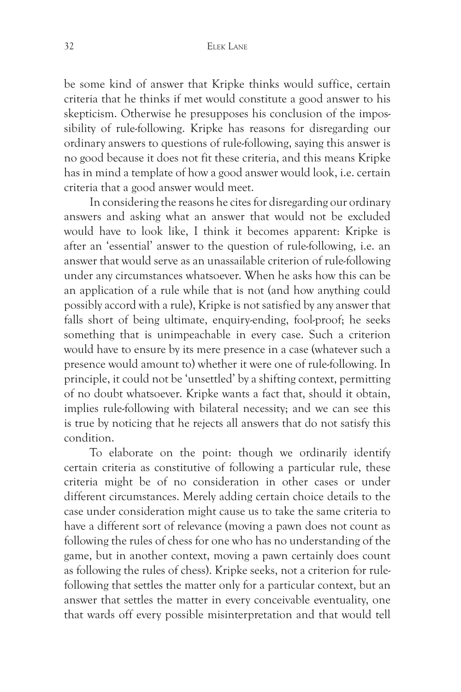be some kind of answer that Kripke thinks would suffice, certain criteria that he thinks if met would constitute a good answer to his skepticism. Otherwise he presupposes his conclusion of the impossibility of rule-following. Kripke has reasons for disregarding our ordinary answers to questions of rule-following, saying this answer is no good because it does not fit these criteria, and this means Kripke has in mind a template of how a good answer would look, i.e. certain criteria that a good answer would meet.

In considering the reasons he cites for disregarding our ordinary answers and asking what an answer that would not be excluded would have to look like, I think it becomes apparent: Kripke is after an 'essential' answer to the question of rule-following, i.e. an answer that would serve as an unassailable criterion of rule-following under any circumstances whatsoever. When he asks how this can be an application of a rule while that is not (and how anything could possibly accord with a rule), Kripke is not satisfied by any answer that falls short of being ultimate, enquiry-ending, fool-proof; he seeks something that is unimpeachable in every case. Such a criterion would have to ensure by its mere presence in a case (whatever such a presence would amount to) whether it were one of rule-following. In principle, it could not be 'unsettled' by a shifting context, permitting of no doubt whatsoever. Kripke wants a fact that, should it obtain, implies rule-following with bilateral necessity; and we can see this is true by noticing that he rejects all answers that do not satisfy this condition.

To elaborate on the point: though we ordinarily identify certain criteria as constitutive of following a particular rule, these criteria might be of no consideration in other cases or under different circumstances. Merely adding certain choice details to the case under consideration might cause us to take the same criteria to have a different sort of relevance (moving a pawn does not count as following the rules of chess for one who has no understanding of the game, but in another context, moving a pawn certainly does count as following the rules of chess). Kripke seeks, not a criterion for rulefollowing that settles the matter only for a particular context, but an answer that settles the matter in every conceivable eventuality, one that wards off every possible misinterpretation and that would tell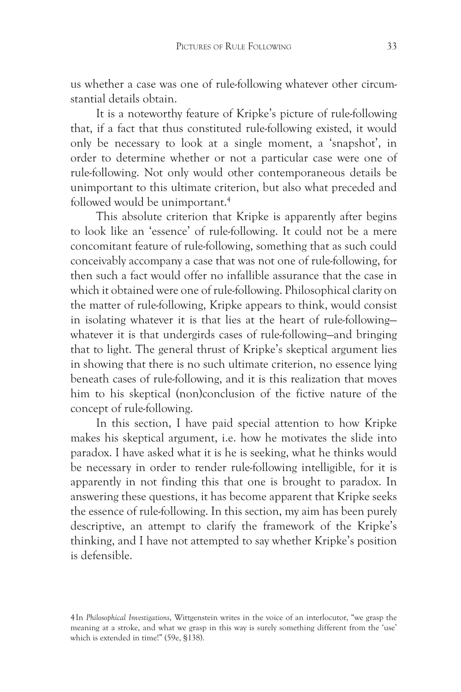us whether a case was one of rule-following whatever other circumstantial details obtain.

It is a noteworthy feature of Kripke's picture of rule-following that, if a fact that thus constituted rule-following existed, it would only be necessary to look at a single moment, a 'snapshot', in order to determine whether or not a particular case were one of rule-following. Not only would other contemporaneous details be unimportant to this ultimate criterion, but also what preceded and followed would be unimportant.<sup>4</sup>

This absolute criterion that Kripke is apparently after begins to look like an 'essence' of rule-following. It could not be a mere concomitant feature of rule-following, something that as such could conceivably accompany a case that was not one of rule-following, for then such a fact would offer no infallible assurance that the case in which it obtained were one of rule-following. Philosophical clarity on the matter of rule-following, Kripke appears to think, would consist in isolating whatever it is that lies at the heart of rule-following whatever it is that undergirds cases of rule-following—and bringing that to light. The general thrust of Kripke's skeptical argument lies in showing that there is no such ultimate criterion, no essence lying beneath cases of rule-following, and it is this realization that moves him to his skeptical (non)conclusion of the fictive nature of the concept of rule-following.

In this section, I have paid special attention to how Kripke makes his skeptical argument, i.e. how he motivates the slide into paradox. I have asked what it is he is seeking, what he thinks would be necessary in order to render rule-following intelligible, for it is apparently in not finding this that one is brought to paradox. In answering these questions, it has become apparent that Kripke seeks the essence of rule-following. In this section, my aim has been purely descriptive, an attempt to clarify the framework of the Kripke's thinking, and I have not attempted to say whether Kripke's position is defensible.

<sup>4</sup>In *Philosophical Investigations*, Wittgenstein writes in the voice of an interlocutor, "we grasp the meaning at a stroke, and what we grasp in this way is surely something different from the 'use' which is extended in time!" (59e, §138).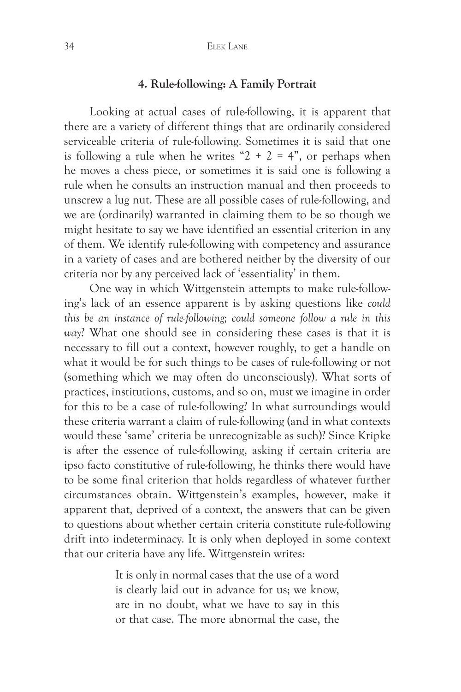#### **4. Rule-following: A Family Portrait**

Looking at actual cases of rule-following, it is apparent that there are a variety of different things that are ordinarily considered serviceable criteria of rule-following. Sometimes it is said that one is following a rule when he writes " $2 + 2 = 4$ ", or perhaps when he moves a chess piece, or sometimes it is said one is following a rule when he consults an instruction manual and then proceeds to unscrew a lug nut. These are all possible cases of rule-following, and we are (ordinarily) warranted in claiming them to be so though we might hesitate to say we have identified an essential criterion in any of them. We identify rule-following with competency and assurance in a variety of cases and are bothered neither by the diversity of our criteria nor by any perceived lack of 'essentiality' in them.

One way in which Wittgenstein attempts to make rule-following's lack of an essence apparent is by asking questions like *could this be an instance of rule-following; could someone follow a rule in this way*? What one should see in considering these cases is that it is necessary to fill out a context, however roughly, to get a handle on what it would be for such things to be cases of rule-following or not (something which we may often do unconsciously). What sorts of practices, institutions, customs, and so on, must we imagine in order for this to be a case of rule-following? In what surroundings would these criteria warrant a claim of rule-following (and in what contexts would these 'same' criteria be unrecognizable as such)? Since Kripke is after the essence of rule-following, asking if certain criteria are ipso facto constitutive of rule-following, he thinks there would have to be some final criterion that holds regardless of whatever further circumstances obtain. Wittgenstein's examples, however, make it apparent that, deprived of a context, the answers that can be given to questions about whether certain criteria constitute rule-following drift into indeterminacy. It is only when deployed in some context that our criteria have any life. Wittgenstein writes:

> It is only in normal cases that the use of a word is clearly laid out in advance for us; we know, are in no doubt, what we have to say in this or that case. The more abnormal the case, the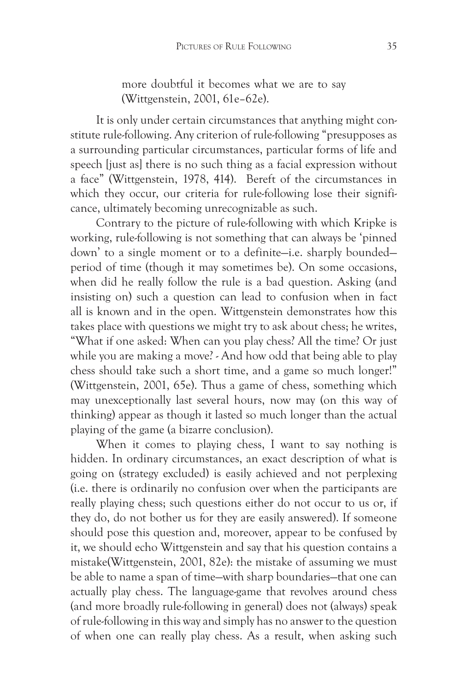more doubtful it becomes what we are to say (Wittgenstein, 2001, 61e–62e).

It is only under certain circumstances that anything might constitute rule-following. Any criterion of rule-following "presupposes as a surrounding particular circumstances, particular forms of life and speech [just as] there is no such thing as a facial expression without a face" (Wittgenstein, 1978, 414). Bereft of the circumstances in which they occur, our criteria for rule-following lose their significance, ultimately becoming unrecognizable as such.

Contrary to the picture of rule-following with which Kripke is working, rule-following is not something that can always be 'pinned down' to a single moment or to a definite—i.e. sharply bounded period of time (though it may sometimes be). On some occasions, when did he really follow the rule is a bad question. Asking (and insisting on) such a question can lead to confusion when in fact all is known and in the open. Wittgenstein demonstrates how this takes place with questions we might try to ask about chess; he writes, "What if one asked: When can you play chess? All the time? Or just while you are making a move? - And how odd that being able to play chess should take such a short time, and a game so much longer!" (Wittgenstein, 2001, 65e). Thus a game of chess, something which may unexceptionally last several hours, now may (on this way of thinking) appear as though it lasted so much longer than the actual playing of the game (a bizarre conclusion).

When it comes to playing chess, I want to say nothing is hidden. In ordinary circumstances, an exact description of what is going on (strategy excluded) is easily achieved and not perplexing (i.e. there is ordinarily no confusion over when the participants are really playing chess; such questions either do not occur to us or, if they do, do not bother us for they are easily answered). If someone should pose this question and, moreover, appear to be confused by it, we should echo Wittgenstein and say that his question contains a mistake(Wittgenstein, 2001, 82e): the mistake of assuming we must be able to name a span of time—with sharp boundaries—that one can actually play chess. The language-game that revolves around chess (and more broadly rule-following in general) does not (always) speak of rule-following in this way and simply has no answer to the question of when one can really play chess. As a result, when asking such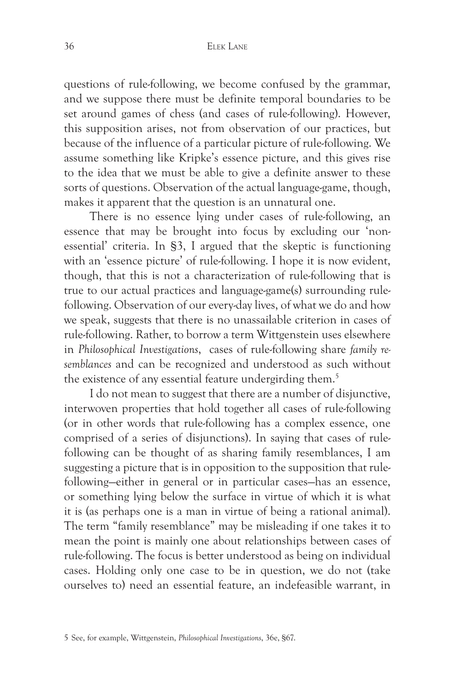questions of rule-following, we become confused by the grammar, and we suppose there must be definite temporal boundaries to be set around games of chess (and cases of rule-following). However, this supposition arises, not from observation of our practices, but because of the influence of a particular picture of rule-following. We assume something like Kripke's essence picture, and this gives rise to the idea that we must be able to give a definite answer to these sorts of questions. Observation of the actual language-game, though, makes it apparent that the question is an unnatural one.

There is no essence lying under cases of rule-following, an essence that may be brought into focus by excluding our 'nonessential' criteria. In §3, I argued that the skeptic is functioning with an 'essence picture' of rule-following. I hope it is now evident, though, that this is not a characterization of rule-following that is true to our actual practices and language-game(s) surrounding rulefollowing. Observation of our every-day lives, of what we do and how we speak, suggests that there is no unassailable criterion in cases of rule-following. Rather, to borrow a term Wittgenstein uses elsewhere in *Philosophical Investigations*, cases of rule-following share *family resemblances* and can be recognized and understood as such without the existence of any essential feature undergirding them.<sup>5</sup>

I do not mean to suggest that there are a number of disjunctive, interwoven properties that hold together all cases of rule-following (or in other words that rule-following has a complex essence, one comprised of a series of disjunctions). In saying that cases of rulefollowing can be thought of as sharing family resemblances, I am suggesting a picture that is in opposition to the supposition that rulefollowing—either in general or in particular cases—has an essence, or something lying below the surface in virtue of which it is what it is (as perhaps one is a man in virtue of being a rational animal). The term "family resemblance" may be misleading if one takes it to mean the point is mainly one about relationships between cases of rule-following. The focus is better understood as being on individual cases. Holding only one case to be in question, we do not (take ourselves to) need an essential feature, an indefeasible warrant, in

<sup>5</sup> See, for example, Wittgenstein, *Philosophical Investigations*, 36e, §67.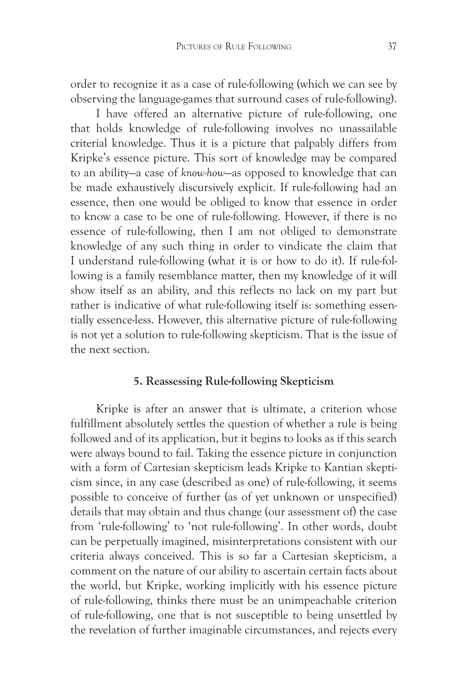order to recognize it as a case of rule-following (which we can see by observing the language-games that surround cases of rule-following).

I have offered an alternative picture of rule-following, one that holds knowledge of rule-following involves no unassailable criterial knowledge. Thus it is a picture that palpably differs from Kripke's essence picture. This sort of knowledge may be compared to an ability—a case of *know-how*—as opposed to knowledge that can be made exhaustively discursively explicit. If rule-following had an essence, then one would be obliged to know that essence in order to know a case to be one of rule-following. However, if there is no essence of rule-following, then I am not obliged to demonstrate knowledge of any such thing in order to vindicate the claim that I understand rule-following (what it is or how to do it). If rule-following is a family resemblance matter, then my knowledge of it will show itself as an ability, and this reflects no lack on my part but rather is indicative of what rule-following itself is: something essentially essence-less. However, this alternative picture of rule-following is not yet a solution to rule-following skepticism. That is the issue of the next section.

# **5. Reassessing Rule-following Skepticism**

Kripke is after an answer that is ultimate, a criterion whose fulfillment absolutely settles the question of whether a rule is being followed and of its application, but it begins to looks as if this search were always bound to fail. Taking the essence picture in conjunction with a form of Cartesian skepticism leads Kripke to Kantian skepticism since, in any case (described as one) of rule-following, it seems possible to conceive of further (as of yet unknown or unspecified) details that may obtain and thus change (our assessment of) the case from 'rule-following' to 'not rule-following'. In other words, doubt can be perpetually imagined, misinterpretations consistent with our criteria always conceived. This is so far a Cartesian skepticism, a comment on the nature of our ability to ascertain certain facts about the world, but Kripke, working implicitly with his essence picture of rule-following, thinks there must be an unimpeachable criterion of rule-following, one that is not susceptible to being unsettled by the revelation of further imaginable circumstances, and rejects every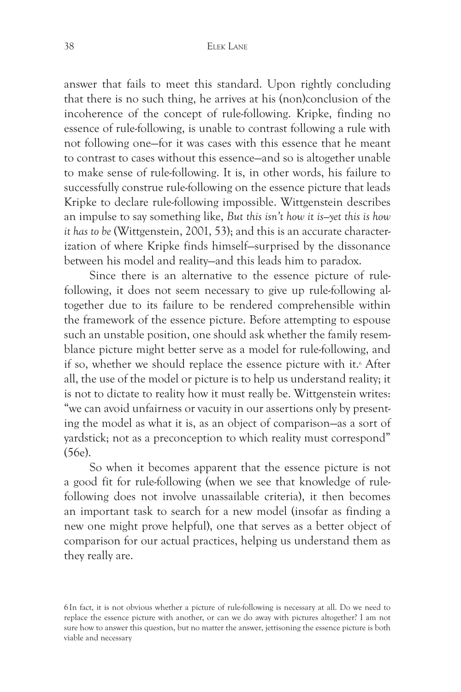answer that fails to meet this standard. Upon rightly concluding that there is no such thing, he arrives at his (non)conclusion of the incoherence of the concept of rule-following. Kripke, finding no essence of rule-following, is unable to contrast following a rule with not following one—for it was cases with this essence that he meant to contrast to cases without this essence—and so is altogether unable to make sense of rule-following. It is, in other words, his failure to successfully construe rule-following on the essence picture that leads Kripke to declare rule-following impossible. Wittgenstein describes an impulse to say something like, *But this isn't how it is—yet this is how it has to be* (Wittgenstein, 2001, 53); and this is an accurate characterization of where Kripke finds himself—surprised by the dissonance between his model and reality—and this leads him to paradox.

Since there is an alternative to the essence picture of rulefollowing, it does not seem necessary to give up rule-following altogether due to its failure to be rendered comprehensible within the framework of the essence picture. Before attempting to espouse such an unstable position, one should ask whether the family resemblance picture might better serve as a model for rule-following, and if so, whether we should replace the essence picture with it.<sup>6</sup> After all, the use of the model or picture is to help us understand reality; it is not to dictate to reality how it must really be. Wittgenstein writes: "we can avoid unfairness or vacuity in our assertions only by presenting the model as what it is, as an object of comparison—as a sort of yardstick; not as a preconception to which reality must correspond" (56e).

So when it becomes apparent that the essence picture is not a good fit for rule-following (when we see that knowledge of rulefollowing does not involve unassailable criteria), it then becomes an important task to search for a new model (insofar as finding a new one might prove helpful), one that serves as a better object of comparison for our actual practices, helping us understand them as they really are.

6In fact, it is not obvious whether a picture of rule-following is necessary at all. Do we need to replace the essence picture with another, or can we do away with pictures altogether? I am not sure how to answer this question, but no matter the answer, jettisoning the essence picture is both viable and necessary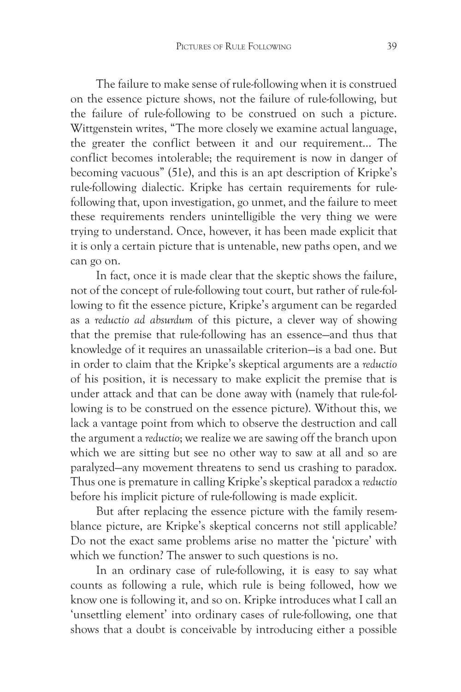The failure to make sense of rule-following when it is construed on the essence picture shows, not the failure of rule-following, but the failure of rule-following to be construed on such a picture. Wittgenstein writes, "The more closely we examine actual language, the greater the conflict between it and our requirement... The conflict becomes intolerable; the requirement is now in danger of becoming vacuous" (51e), and this is an apt description of Kripke's rule-following dialectic. Kripke has certain requirements for rulefollowing that, upon investigation, go unmet, and the failure to meet these requirements renders unintelligible the very thing we were trying to understand. Once, however, it has been made explicit that it is only a certain picture that is untenable, new paths open, and we can go on.

In fact, once it is made clear that the skeptic shows the failure, not of the concept of rule-following tout court, but rather of rule-following to fit the essence picture, Kripke's argument can be regarded as a *reductio ad absurdum* of this picture, a clever way of showing that the premise that rule-following has an essence—and thus that knowledge of it requires an unassailable criterion—is a bad one. But in order to claim that the Kripke's skeptical arguments are a *reductio* of his position, it is necessary to make explicit the premise that is under attack and that can be done away with (namely that rule-following is to be construed on the essence picture). Without this, we lack a vantage point from which to observe the destruction and call the argument a *reductio*; we realize we are sawing off the branch upon which we are sitting but see no other way to saw at all and so are paralyzed—any movement threatens to send us crashing to paradox. Thus one is premature in calling Kripke's skeptical paradox a *reductio* before his implicit picture of rule-following is made explicit.

But after replacing the essence picture with the family resemblance picture, are Kripke's skeptical concerns not still applicable? Do not the exact same problems arise no matter the 'picture' with which we function? The answer to such questions is no.

In an ordinary case of rule-following, it is easy to say what counts as following a rule, which rule is being followed, how we know one is following it, and so on. Kripke introduces what I call an 'unsettling element' into ordinary cases of rule-following, one that shows that a doubt is conceivable by introducing either a possible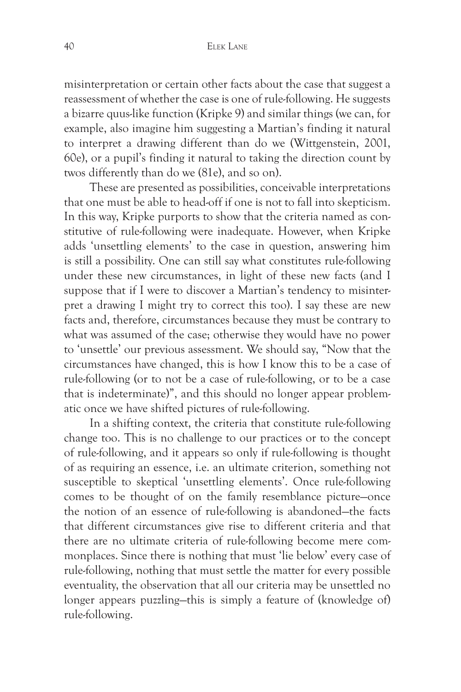misinterpretation or certain other facts about the case that suggest a reassessment of whether the case is one of rule-following. He suggests a bizarre quus-like function (Kripke 9) and similar things (we can, for example, also imagine him suggesting a Martian's finding it natural to interpret a drawing different than do we (Wittgenstein, 2001, 60e), or a pupil's finding it natural to taking the direction count by twos differently than do we (81e), and so on).

These are presented as possibilities, conceivable interpretations that one must be able to head-off if one is not to fall into skepticism. In this way, Kripke purports to show that the criteria named as constitutive of rule-following were inadequate. However, when Kripke adds 'unsettling elements' to the case in question, answering him is still a possibility. One can still say what constitutes rule-following under these new circumstances, in light of these new facts (and I suppose that if I were to discover a Martian's tendency to misinterpret a drawing I might try to correct this too). I say these are new facts and, therefore, circumstances because they must be contrary to what was assumed of the case; otherwise they would have no power to 'unsettle' our previous assessment. We should say, "Now that the circumstances have changed, this is how I know this to be a case of rule-following (or to not be a case of rule-following, or to be a case that is indeterminate)", and this should no longer appear problematic once we have shifted pictures of rule-following.

In a shifting context, the criteria that constitute rule-following change too. This is no challenge to our practices or to the concept of rule-following, and it appears so only if rule-following is thought of as requiring an essence, i.e. an ultimate criterion, something not susceptible to skeptical 'unsettling elements'. Once rule-following comes to be thought of on the family resemblance picture—once the notion of an essence of rule-following is abandoned—the facts that different circumstances give rise to different criteria and that there are no ultimate criteria of rule-following become mere commonplaces. Since there is nothing that must 'lie below' every case of rule-following, nothing that must settle the matter for every possible eventuality, the observation that all our criteria may be unsettled no longer appears puzzling—this is simply a feature of (knowledge of) rule-following.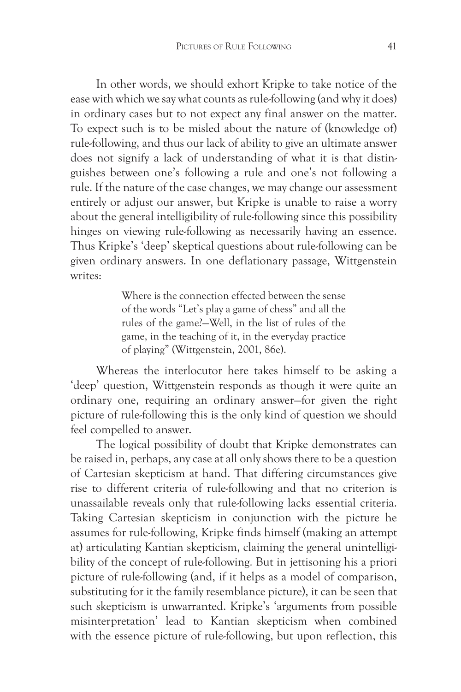In other words, we should exhort Kripke to take notice of the ease with which we say what counts as rule-following (and why it does) in ordinary cases but to not expect any final answer on the matter. To expect such is to be misled about the nature of (knowledge of) rule-following, and thus our lack of ability to give an ultimate answer does not signify a lack of understanding of what it is that distinguishes between one's following a rule and one's not following a rule. If the nature of the case changes, we may change our assessment entirely or adjust our answer, but Kripke is unable to raise a worry about the general intelligibility of rule-following since this possibility hinges on viewing rule-following as necessarily having an essence. Thus Kripke's 'deep' skeptical questions about rule-following can be given ordinary answers. In one deflationary passage, Wittgenstein writes:

> Where is the connection effected between the sense of the words "Let's play a game of chess" and all the rules of the game?—Well, in the list of rules of the game, in the teaching of it, in the everyday practice of playing" (Wittgenstein, 2001, 86e).

Whereas the interlocutor here takes himself to be asking a 'deep' question, Wittgenstein responds as though it were quite an ordinary one, requiring an ordinary answer—for given the right picture of rule-following this is the only kind of question we should feel compelled to answer.

The logical possibility of doubt that Kripke demonstrates can be raised in, perhaps, any case at all only shows there to be a question of Cartesian skepticism at hand. That differing circumstances give rise to different criteria of rule-following and that no criterion is unassailable reveals only that rule-following lacks essential criteria. Taking Cartesian skepticism in conjunction with the picture he assumes for rule-following, Kripke finds himself (making an attempt at) articulating Kantian skepticism, claiming the general unintelligibility of the concept of rule-following. But in jettisoning his a priori picture of rule-following (and, if it helps as a model of comparison, substituting for it the family resemblance picture), it can be seen that such skepticism is unwarranted. Kripke's 'arguments from possible misinterpretation' lead to Kantian skepticism when combined with the essence picture of rule-following, but upon reflection, this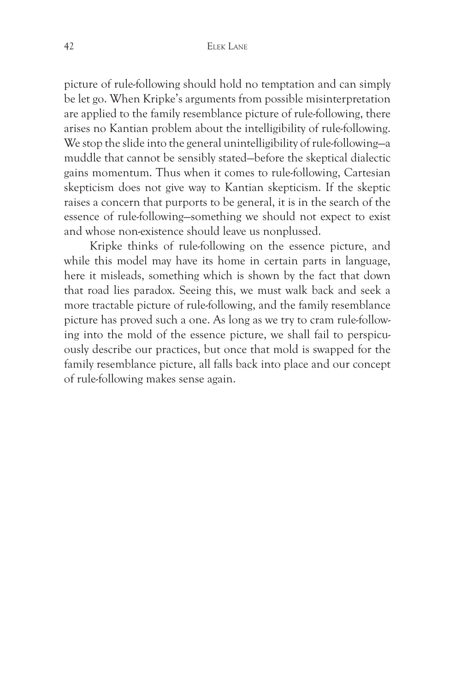picture of rule-following should hold no temptation and can simply be let go. When Kripke's arguments from possible misinterpretation are applied to the family resemblance picture of rule-following, there arises no Kantian problem about the intelligibility of rule-following. We stop the slide into the general unintelligibility of rule-following—a muddle that cannot be sensibly stated—before the skeptical dialectic gains momentum. Thus when it comes to rule-following, Cartesian skepticism does not give way to Kantian skepticism. If the skeptic raises a concern that purports to be general, it is in the search of the essence of rule-following—something we should not expect to exist and whose non-existence should leave us nonplussed.

Kripke thinks of rule-following on the essence picture, and while this model may have its home in certain parts in language, here it misleads, something which is shown by the fact that down that road lies paradox. Seeing this, we must walk back and seek a more tractable picture of rule-following, and the family resemblance picture has proved such a one. As long as we try to cram rule-following into the mold of the essence picture, we shall fail to perspicuously describe our practices, but once that mold is swapped for the family resemblance picture, all falls back into place and our concept of rule-following makes sense again.